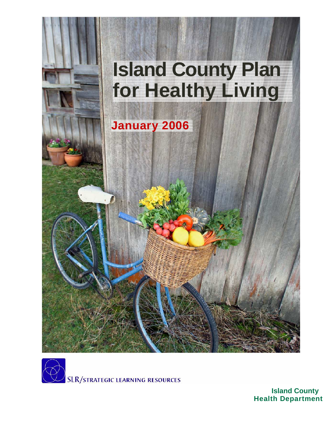



**Island County Health Department**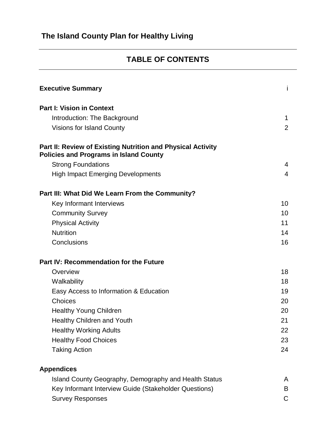### **TABLE OF CONTENTS**

| <b>Executive Summary</b>                                                                                     | İ              |
|--------------------------------------------------------------------------------------------------------------|----------------|
| <b>Part I: Vision in Context</b>                                                                             |                |
| Introduction: The Background                                                                                 | 1              |
| <b>Visions for Island County</b>                                                                             | $\overline{2}$ |
| Part II: Review of Existing Nutrition and Physical Activity<br><b>Policies and Programs in Island County</b> |                |
| <b>Strong Foundations</b>                                                                                    | $\overline{4}$ |
| <b>High Impact Emerging Developments</b>                                                                     | 4              |
| Part III: What Did We Learn From the Community?                                                              |                |
| Key Informant Interviews                                                                                     | 10             |
| <b>Community Survey</b>                                                                                      | 10             |
| <b>Physical Activity</b>                                                                                     | 11             |
| <b>Nutrition</b>                                                                                             | 14             |
| Conclusions                                                                                                  | 16             |
| <b>Part IV: Recommendation for the Future</b>                                                                |                |
| Overview                                                                                                     | 18             |
| Walkability                                                                                                  | 18             |
| Easy Access to Information & Education                                                                       | 19             |
| Choices                                                                                                      | 20             |
| <b>Healthy Young Children</b>                                                                                | 20             |
| <b>Healthy Children and Youth</b>                                                                            | 21             |
| <b>Healthy Working Adults</b>                                                                                | 22             |
| <b>Healthy Food Choices</b>                                                                                  | 23             |
| <b>Taking Action</b>                                                                                         | 24             |
| <b>Appendices</b>                                                                                            |                |
| Island County Geography, Demography and Health Status                                                        | A              |
| Key Informant Interview Guide (Stakeholder Questions)                                                        | B              |
| <b>Survey Responses</b>                                                                                      | C              |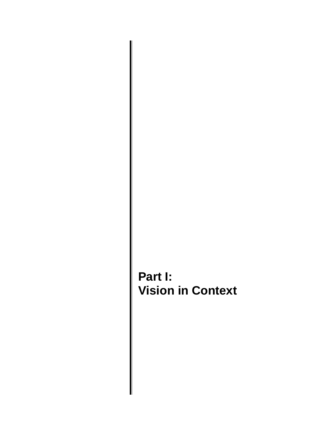# **Part I: Vision in Context**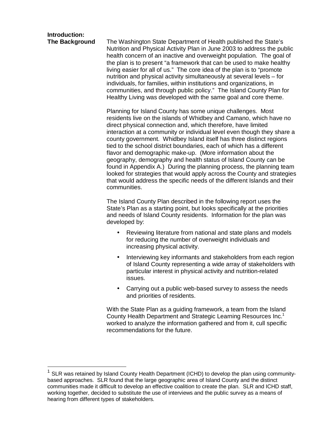## **Introduction:**

**The Background** The Washington State Department of Health published the State's Nutrition and Physical Activity Plan in June 2003 to address the public health concern of an inactive and overweight population. The goal of the plan is to present "a framework that can be used to make healthy living easier for all of us." The core idea of the plan is to "promote nutrition and physical activity simultaneously at several levels – for individuals, for families, within institutions and organizations, in communities, and through public policy." The Island County Plan for Healthy Living was developed with the same goal and core theme.

> Planning for Island County has some unique challenges. Most residents live on the islands of Whidbey and Camano, which have no direct physical connection and, which therefore, have limited interaction at a community or individual level even though they share a county government. Whidbey Island itself has three distinct regions tied to the school district boundaries, each of which has a different flavor and demographic make-up. (More information about the geography, demography and health status of Island County can be found in Appendix A.) During the planning process, the planning team looked for strategies that would apply across the County and strategies that would address the specific needs of the different Islands and their communities.

The Island County Plan described in the following report uses the State's Plan as a starting point, but looks specifically at the priorities and needs of Island County residents. Information for the plan was developed by:

- Reviewing literature from national and state plans and models for reducing the number of overweight individuals and increasing physical activity.
- Interviewing key informants and stakeholders from each region of Island County representing a wide array of stakeholders with particular interest in physical activity and nutrition-related issues.
- Carrying out a public web-based survey to assess the needs and priorities of residents.

With the State Plan as a guiding framework, a team from the Island County Health Department and Strategic Learning Resources Inc.<sup>1</sup> worked to analyze the information gathered and from it, cull specific recommendations for the future.

 $1$  SLR was retained by Island County Health Department (ICHD) to develop the plan using communitybased approaches. SLR found that the large geographic area of Island County and the distinct communities made it difficult to develop an effective coalition to create the plan. SLR and ICHD staff, working together, decided to substitute the use of interviews and the public survey as a means of hearing from different types of stakeholders.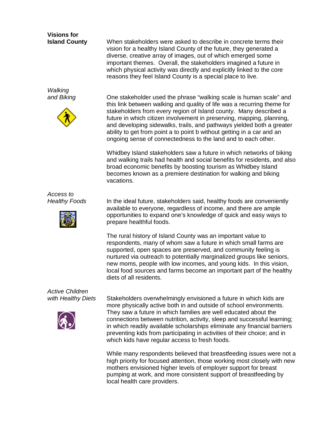## **Visions for**

**Walking** 



**Island County** When stakeholders were asked to describe in concrete terms their vision for a healthy Island County of the future, they generated a diverse, creative array of images, out of which emerged some important themes. Overall, the stakeholders imagined a future in which physical activity was directly and explicitly linked to the core reasons they feel Island County is a special place to live.

and Biking **One stakeholder used the phrase "walking scale is human scale"** and this link between walking and quality of life was a recurring theme for stakeholders from every region of Island county. Many described a future in which citizen involvement in preserving, mapping, planning, and developing sidewalks, trails, and pathways yielded both a greater ability to get from point a to point b without getting in a car and an ongoing sense of connectedness to the land and to each other.

> Whidbey Island stakeholders saw a future in which networks of biking and walking trails had health and social benefits for residents, and also broad economic benefits by boosting tourism as Whidbey Island becomes known as a premiere destination for walking and biking vacations.

Access to



Healthy Foods In the ideal future, stakeholders said, healthy foods are conveniently available to everyone, regardless of income, and there are ample opportunities to expand one's knowledge of quick and easy ways to prepare healthful foods.

> The rural history of Island County was an important value to respondents, many of whom saw a future in which small farms are supported, open spaces are preserved, and community feeling is nurtured via outreach to potentially marginalized groups like seniors, new moms, people with low incomes, and young kids. In this vision, local food sources and farms become an important part of the healthy diets of all residents.

# Active Children



with Healthy Diets Stakeholders overwhelmingly envisioned a future in which kids are more physically active both in and outside of school environments. They saw a future in which families are well educated about the connections between nutrition, activity, sleep and successful learning; in which readily available scholarships eliminate any financial barriers preventing kids from participating in activities of their choice; and in which kids have regular access to fresh foods.

> While many respondents believed that breastfeeding issues were not a high priority for focused attention, those working most closely with new mothers envisioned higher levels of employer support for breast pumping at work, and more consistent support of breastfeeding by local health care providers.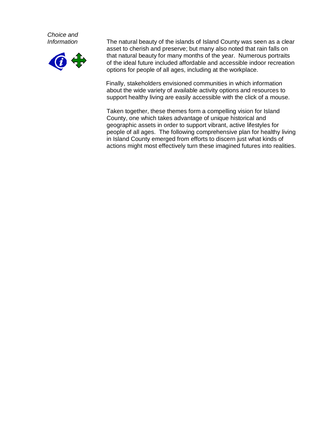Choice and



Information The natural beauty of the islands of Island County was seen as a clear asset to cherish and preserve; but many also noted that rain falls on that natural beauty for many months of the year. Numerous portraits of the ideal future included affordable and accessible indoor recreation options for people of all ages, including at the workplace.

> Finally, stakeholders envisioned communities in which information about the wide variety of available activity options and resources to support healthy living are easily accessible with the click of a mouse.

Taken together, these themes form a compelling vision for Island County, one which takes advantage of unique historical and geographic assets in order to support vibrant, active lifestyles for people of all ages. The following comprehensive plan for healthy living in Island County emerged from efforts to discern just what kinds of actions might most effectively turn these imagined futures into realities.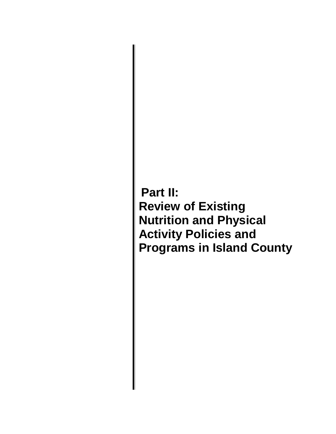**Part II: Review of Existing Nutrition and Physical Activity Policies and Programs in Island County**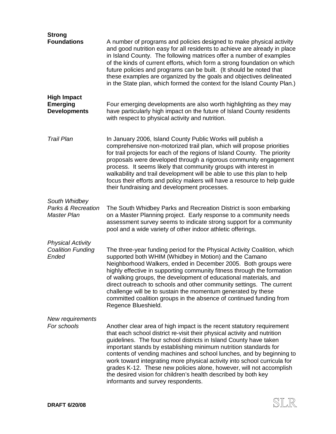| <b>Strong</b><br><b>Foundations</b>                           | A number of programs and policies designed to make physical activity                                                                                                                                                                                                                                                                                                                                                                                                                                                                                                                                                          |
|---------------------------------------------------------------|-------------------------------------------------------------------------------------------------------------------------------------------------------------------------------------------------------------------------------------------------------------------------------------------------------------------------------------------------------------------------------------------------------------------------------------------------------------------------------------------------------------------------------------------------------------------------------------------------------------------------------|
|                                                               | and good nutrition easy for all residents to achieve are already in place<br>in Island County. The following matrices offer a number of examples<br>of the kinds of current efforts, which form a strong foundation on which<br>future policies and programs can be built. (It should be noted that<br>these examples are organized by the goals and objectives delineated<br>in the State plan, which formed the context for the Island County Plan.)                                                                                                                                                                        |
| <b>High Impact</b><br><b>Emerging</b><br><b>Developments</b>  | Four emerging developments are also worth highlighting as they may<br>have particularly high impact on the future of Island County residents<br>with respect to physical activity and nutrition.                                                                                                                                                                                                                                                                                                                                                                                                                              |
| <b>Trail Plan</b>                                             | In January 2006, Island County Public Works will publish a<br>comprehensive non-motorized trail plan, which will propose priorities<br>for trail projects for each of the regions of Island County. The priority<br>proposals were developed through a rigorous community engagement<br>process. It seems likely that community groups with interest in<br>walkability and trail development will be able to use this plan to help<br>focus their efforts and policy makers will have a resource to help guide<br>their fundraising and development processes.                                                                |
| South Whidbey<br><b>Parks &amp; Recreation</b><br>Master Plan | The South Whidbey Parks and Recreation District is soon embarking<br>on a Master Planning project. Early response to a community needs<br>assessment survey seems to indicate strong support for a community<br>pool and a wide variety of other indoor athletic offerings.                                                                                                                                                                                                                                                                                                                                                   |
| <b>Physical Activity</b><br><b>Coalition Funding</b><br>Ended | The three-year funding period for the Physical Activity Coalition, which<br>supported both WHIM (Whidbey in Motion) and the Camano<br>Neighborhood Walkers, ended in December 2005. Both groups were<br>highly effective in supporting community fitness through the formation<br>of walking groups, the development of educational materials, and<br>direct outreach to schools and other community settings. The current<br>challenge will be to sustain the momentum generated by these<br>committed coalition groups in the absence of continued funding from<br>Regence Blueshield.                                      |
| New requirements<br>For schools                               | Another clear area of high impact is the recent statutory requirement<br>that each school district re-visit their physical activity and nutrition<br>guidelines. The four school districts in Island County have taken<br>important stands by establishing minimum nutrition standards for<br>contents of vending machines and school lunches, and by beginning to<br>work toward integrating more physical activity into school curricula for<br>grades K-12. These new policies alone, however, will not accomplish<br>the desired vision for children's health described by both key<br>informants and survey respondents. |

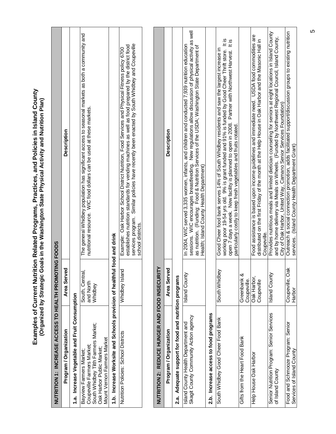|                                                                                                                                                          | י (המיני אל פאר המיני הארב המיני המיני)<br>או המיני המיני הארב הארב המיני המיני המיני המיני המיני המיני המיני המיני |                                                                                                                                                                                                                                                                                                                                                                           |
|----------------------------------------------------------------------------------------------------------------------------------------------------------|---------------------------------------------------------------------------------------------------------------------|---------------------------------------------------------------------------------------------------------------------------------------------------------------------------------------------------------------------------------------------------------------------------------------------------------------------------------------------------------------------------|
| NUTRITION 1: INCREASE ACCESS TO HEALTH PROMOTING FOODS                                                                                                   |                                                                                                                     |                                                                                                                                                                                                                                                                                                                                                                           |
| Program / Organization                                                                                                                                   | Area Served                                                                                                         | <b>Description</b>                                                                                                                                                                                                                                                                                                                                                        |
| 1.a. Increase Vegetable and Fruit Consumption                                                                                                            |                                                                                                                     |                                                                                                                                                                                                                                                                                                                                                                           |
| South Whidbey Tilth Farmers Market;<br>Mount Vernon Farmers Market<br>Coupeville Farmers Market;<br>Oak Harbor Public Market;<br>Bayview Farmers Market; | South, Centra<br>and North<br>Whidbey                                                                               | The general Whidbey population has significant access to seasonal markets as both a community and<br>nutritional resource. WIC food dollars can be used at these markets.                                                                                                                                                                                                 |
| 1.b. Increase Worksite and Schools provision of healthful food and drink                                                                                 |                                                                                                                     |                                                                                                                                                                                                                                                                                                                                                                           |
| Nutrition Policies: School Districts                                                                                                                     | ᅙ<br>Whidbey Islar                                                                                                  | services program. Similar policies have recently been enacted by South Whidbey and Coupeville<br>establishes nutrition standards for vending machines as well as food prepared by the district food<br>Example: Oak Harbor School District Nutrition, Food Services and Physical Fitness policy 6700<br>school districts.                                                 |
|                                                                                                                                                          |                                                                                                                     |                                                                                                                                                                                                                                                                                                                                                                           |
| NUTRITION 2: REDUCE HUNGER AND FOOD INSECURI                                                                                                             | Y                                                                                                                   |                                                                                                                                                                                                                                                                                                                                                                           |
| Program / Organization                                                                                                                                   | Area Served                                                                                                         | Description                                                                                                                                                                                                                                                                                                                                                               |
| Adequate support for food and nutrition programs<br>2.a.                                                                                                 |                                                                                                                     |                                                                                                                                                                                                                                                                                                                                                                           |
| Island County Health Department and<br>Skagit County Community Action agency                                                                             | Island County                                                                                                       | sessions. WIC encourages breastfeeding. New regulations allow discussion of physical activity as well<br>In 2004, WIC served 3,335 women, infants, and children and conducted 7,939 nutrition education<br>as nutrition. (Funding: Food & Nutrition Services of the USDA; Washington State Department of<br>Health; Island County Health Department)                      |
| 2.b. Increase access to food programs                                                                                                                    |                                                                                                                     |                                                                                                                                                                                                                                                                                                                                                                           |
| South Whidbey Good Cheer Food Bank                                                                                                                       | South Whidbey                                                                                                       | working poor 19-54 yrs old. 9% is grant funded and 91% is funded by Good Cheer Thrift store. It is<br>open 7 days a week. New facility is planned to open in 2008. Partner with Northwest Harvest. It is<br>Good Cheer food bank serves 14% of South Whidbey residents and saw the largest increase in<br>particularly costly to keep fresh vegetables and fruits rotated |
| Gifts from the Heart Food Bank                                                                                                                           | Greenbank &<br>Coupeville.                                                                                          |                                                                                                                                                                                                                                                                                                                                                                           |
| Help House Oak Harbor                                                                                                                                    | Oak Harbor,<br>Coupeville                                                                                           | Food assistance is based upon income guidelines and immediate need. USDA food commodities are<br>distributed on the first Friday of the month at the Help House in Oak Harbor and the Masonic Hall in<br>Coupeville.                                                                                                                                                      |
| Senior Nutrition Program: Senior Services<br>of Island County                                                                                            | Island County                                                                                                       | Provides nutritious meals and limited dietician counseling for seniors at eight locations in Island County<br>and by home delivery via Meals on Wheels. (Funded by Northwest Regional Council, Island County,<br>City of Oak Harbor, United Way, Camano Senior Services Foundation)                                                                                       |
| Food and Schmooze Program: Senior<br>Services of Island County                                                                                           | $\breve{\vec{\sigma}}$<br>Coupeville, O<br>Harbor                                                                   | Outreach & social connection promotion, adds facilitated support/discussion groups to existing nutrition<br>services. (Island County Health Department Grant)                                                                                                                                                                                                             |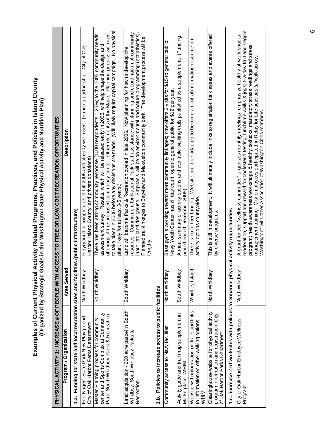| PHYSICAL ACTIVITY 1: INCREASE # OF PEOPLE WITH                                                                              |                | ACCESS TO FREE OR LOW COST RECREATION OPPORTUNITIES                                                                                                                                                                                                                                                                                                                                                                                                                               |
|-----------------------------------------------------------------------------------------------------------------------------|----------------|-----------------------------------------------------------------------------------------------------------------------------------------------------------------------------------------------------------------------------------------------------------------------------------------------------------------------------------------------------------------------------------------------------------------------------------------------------------------------------------|
| Program / Organization                                                                                                      | Area Served    | Description                                                                                                                                                                                                                                                                                                                                                                                                                                                                       |
| Funding for state and local recreation sites and faci<br><u>สุ</u>                                                          |                | lities (public infrastructure)                                                                                                                                                                                                                                                                                                                                                                                                                                                    |
| Fort Nugent State Park New Playground:<br>City of Oak Harbor Parks Department                                               | North Whidbey  | Playground is complete as of fall 2005 and already well used. (Funding partnership: City of Oak<br>Harbor, Island County, and private donations)                                                                                                                                                                                                                                                                                                                                  |
| center and Sports Complex at Community<br>Park: South Whidbey Parks & Recreation:<br>Master Planning process for community  | South Whidbey  | to take place in 2006 before any decisions are made. (Will likely require capital campaign. No physical<br>offerings of the proposed community center. Other elements of the Master Planning process will need<br>There has been strong community response (1000 respondents = 25%) to the 2005 community needs<br>assessment survey. Results, which will be released early in 2006, will help shape the design and<br>plant likely for at least 3-5 years.)                      |
| Land acquisition - 200 acre parcel in South<br>Whidbey: South Whidbey Parks &<br>Recreation                                 | South Whidbey  | resource. Commitment for National Park staff assistance with planning and coordination of community<br>input into land design/use. Emphasis will be on environmental and nature programming (not athletics).<br>Planned trail-linkages to Bayview and Maxwelton community park. The development process will be<br>Land will become Parks & Recreation owned in late 2006. Now planning for how to develop the<br>engthy                                                          |
| 1.b. Policies to increase access to public facilities                                                                       |                |                                                                                                                                                                                                                                                                                                                                                                                                                                                                                   |
| Community access to Navy facilities                                                                                         | North Whidbey  | Base gym is working toward more community linkages; now offers 3 visits for \$15 to general public;<br>Navy Youth Center has all day court, open to general public for \$12 per year                                                                                                                                                                                                                                                                                              |
| Activity guide and trail map supplement in<br>Marketplace: WHIM                                                             | South Whidbey  | Annual summary of activity options and available walking trails published as a supplement. (Funding<br>period ended December 2005)                                                                                                                                                                                                                                                                                                                                                |
| Website with information on trails and links<br>to information on other walking options:<br><b>MHM</b>                      | Whidbey Island | Website could be adapted to become a central information resource on<br>There is no further funding.<br>activity options countywide.                                                                                                                                                                                                                                                                                                                                              |
| Clearinghouse website for physical activity<br>program information and registration: City<br>of Oak Harbor Parks Department | North Whidbey  | This is still in development. It will ultimately include links to registration for classes and events offered<br>by diverse programs.                                                                                                                                                                                                                                                                                                                                             |
| 1.c. increase # of worksites with policies to enhance physical activity opportunities                                       |                |                                                                                                                                                                                                                                                                                                                                                                                                                                                                                   |
| City of Oak Harbor Employee Wellness<br>Program                                                                             | North Whidbey  | moderation, support and reward for cholesterol testing; lunchtime walks & jogs; 5-a-day fruit and veggie<br>A grant funded "wellness committee" organizes monthly meetings; emphasize healthy at-work snacks,<br>program; health awareness workshops & healthy potlucks; mandatory stress readings and stress<br>management training. City employees participated in Relay for Life activities & "walk across<br>Washington" with other Association of Washington Cities members. |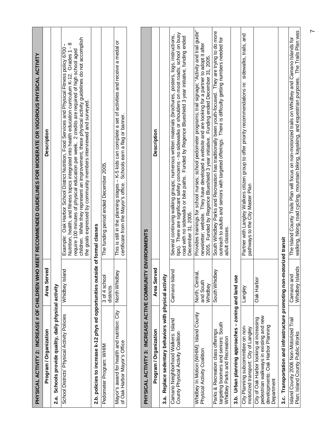|                                                                                                                                        |                                         | PHYSICAL ACTIVITY 2: INCREASE # OF CHILDREN WHO MEET RECOMMENDED GUIDELINES FOR MODERATE OR VIGOROUS PHYSICAL ACTIVITY                                                                                                                                                                                                                                                                                                                                                               |
|----------------------------------------------------------------------------------------------------------------------------------------|-----------------------------------------|--------------------------------------------------------------------------------------------------------------------------------------------------------------------------------------------------------------------------------------------------------------------------------------------------------------------------------------------------------------------------------------------------------------------------------------------------------------------------------------|
| Program / Organization                                                                                                                 | Area Served                             | Description                                                                                                                                                                                                                                                                                                                                                                                                                                                                          |
| Schools provide quality, daily physical activity<br>2.a.                                                                               |                                         |                                                                                                                                                                                                                                                                                                                                                                                                                                                                                      |
| School Districts' Physical Activity Policies                                                                                           | Whidbey Island                          | children. While they represent an improvement, these physical activity guidelines do not accomplish<br>Nutrition, health, and fitness topics integrated into health education curriculum K-12. Grades 1 - 8<br>Example: Oak Harbor School District Nutrition, Food Services and Physical Fitness policy 6700<br>require 100 minutes of physical education per week. 2 credits are required of high school aged<br>the goals expressed by community members interviewed and surveyed. |
| 2.b. policies to increase k-12 phys ed opportunities outsi                                                                             |                                         | de of formal classes                                                                                                                                                                                                                                                                                                                                                                                                                                                                 |
| Pedometer Program: WHIM                                                                                                                | 3 of 4 school<br>districts              | The funding period ended December 2005.                                                                                                                                                                                                                                                                                                                                                                                                                                              |
| Mayor's award for health and nutrition: City<br>of Oak Harbor Mayor's Office                                                           | North Whidbey                           | This is still in the planning stages - K-5 kids can complete a set of activities and receive a medal or<br>Schools earn a flag or banner.<br>certificate from the Mayor's office.                                                                                                                                                                                                                                                                                                    |
|                                                                                                                                        |                                         |                                                                                                                                                                                                                                                                                                                                                                                                                                                                                      |
| PHYSICAL ACTIVITY 3: INCREASE ACTIVE COMMUNITY                                                                                         |                                         | <b>ENVIRONMENTS</b>                                                                                                                                                                                                                                                                                                                                                                                                                                                                  |
| Program / Organization                                                                                                                 | Area Served                             | Description                                                                                                                                                                                                                                                                                                                                                                                                                                                                          |
| Replace sedentary behaviors with physical activity<br>ನ.<br>ನ                                                                          |                                         |                                                                                                                                                                                                                                                                                                                                                                                                                                                                                      |
| Camano Neighborhood Walkers: Island<br>County Physical Activity Coalition                                                              | Camano Islanc                           | tips). There are significant safety concerns - no sidewalks or shoulders on most roads; school on busy<br>Several continuing walking groups; numerous written materials (brochures, posters, logs, instructions,<br>road with no sidewalks or bike paths. Funded by Regence Blueshield 3 year initiative, funding ended<br>December 31, 2005.                                                                                                                                        |
| Whidbey In Motion (WHIM): Island County<br>Physical Activity Coalition                                                                 | North, Central,<br>and South<br>Whidbey | Provides trainings for school nurses; school pedometer programs; trail signage; "Activity and trail guide"<br>newsletter; website. They have developed a website and are looking for a partner to adopt it after<br>2005. Funded by Regence Blueshield 3 year initiative. Funding ended December 31, 2005.                                                                                                                                                                           |
| targeting boomers and seniors: South<br>Parks & Recreation class offerings<br>Whidbey Parks and Recreation                             | South Whidbey                           | South Whidbey Parks and Recreation has traditionally been youth-focused. They are trying to do more<br>outreach to adults and seniors with targeted offerings. There is difficulty getting numbers needed for<br>adult classes.                                                                                                                                                                                                                                                      |
| $\mathbf{I}$<br>3.b. Urban planning approaches                                                                                         | zoning and land use                     |                                                                                                                                                                                                                                                                                                                                                                                                                                                                                      |
| City Planning subcommittee on non-<br>motorized transport: City of Langley                                                             | Langley                                 | Partner with Langley Walkers citizen group to offer priority recommendations re: sidewalks, trails, and<br>pathways to the City Master Plan                                                                                                                                                                                                                                                                                                                                          |
| pedestrian walkways in existing and new<br>City of Oak Harbor looking at increasing<br>developments: Oak Harbor Planning<br>Department | Oak Harbor                              |                                                                                                                                                                                                                                                                                                                                                                                                                                                                                      |
| 3.c. Transportation and infrastructure promoting non-motorized transit                                                                 |                                         |                                                                                                                                                                                                                                                                                                                                                                                                                                                                                      |
| Island County 2006 Non-Motorized Trail<br>Plan: Island County Public Works                                                             | Whidbey Islands<br>Camano and           | walking, hiking, road cycling, mountain biking, kayaking, and equestrian purposes. The Trails Plan was<br>The Island County Trails Plan will focus on non-motorized trails on Whidbey and Camano Islands for                                                                                                                                                                                                                                                                         |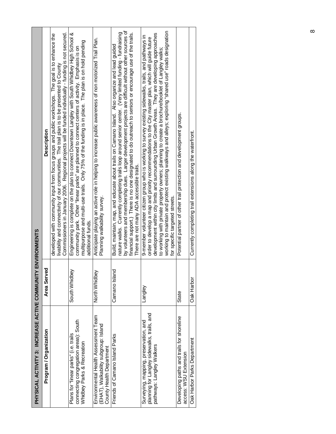| PHYSICAL ACTIVITY 3: INCREASE ACTIVE COMMUNIT                                                                     |                   | Y ENVIRONMENTS                                                                                                                                                                                                                                                                                                                                                                                                                                                                                                                                                     |
|-------------------------------------------------------------------------------------------------------------------|-------------------|--------------------------------------------------------------------------------------------------------------------------------------------------------------------------------------------------------------------------------------------------------------------------------------------------------------------------------------------------------------------------------------------------------------------------------------------------------------------------------------------------------------------------------------------------------------------|
| Program / Organization                                                                                            | Area Served       | <b>Description</b>                                                                                                                                                                                                                                                                                                                                                                                                                                                                                                                                                 |
|                                                                                                                   |                   | Commissioners in January 2006. Regional projects will be funded individually - funding is not secured.<br>developed with community input from focus groups and public workshops. The goal is to enhance the<br>livability and connectivity of our communities. The trail plan is to be presented to County                                                                                                                                                                                                                                                         |
| connecting congregation areas): South<br>Plans for "linear parks" (i.e. trails<br>Whidbey Parks & Recreation      | South Whidbey     | Engineering is complete on the plan to connect Downtown Langley with South Whidbey High School &<br>multipurpose and multi-use trails. Only 75% of the funding is in place. The plan is on hold pending<br>community park. Other "linear parks" are planned to connect centers of activity. Emphasis is on<br>additional funds.                                                                                                                                                                                                                                    |
| Environmental Health Assessment Team<br>(EHAT), Walkability subgroup: Island<br>County Health Department          | North Whidbey     | Anticipate playing an active role in helping to increase public awareness of non motorized Trail Plan.<br>Planning walkability survey.                                                                                                                                                                                                                                                                                                                                                                                                                             |
| Friends of Camano Island Parks                                                                                    | ፶<br>Camano Islan | by volunteers and membership dues. Larger development projects are difficult without other sources of<br>nature walks. Currently completing trails loop around senior center. (Very limited funding - fundraising<br>financial support.) There is no one designated to do outreach to seniors or encourage use of the trails.<br>Build, maintain, map, and educate about trails on Camano Island. Also organize and lead guided<br>There are not many ADA accessible trails.                                                                                       |
| planning for Langley sidewalks, trails, and<br>Surveying, mapping, preservation, and<br>pathways: Langley Walkers | Langley           | working to maintain and protect existing walkways and alleys; exploring "shared use" roads designation<br>development within city limits and surrounding Urban Growth Areas. They are developing approaches<br>9-member volunteer citizen group who is working to survey existing sidewalks, trails, and pathways in<br>order to develop a map and priority recommendations to the City master plan, which will guide future<br>to working with private property owners; planning to create a brochure/booklet of Langley walks;<br>for specific targeted streets. |
| Developing paths and trails for shoreline<br>access: WSU Extension                                                | State             | Potential partner of other trail protection and development groups.                                                                                                                                                                                                                                                                                                                                                                                                                                                                                                |
| Oak Harbor Parks Department                                                                                       | Oak Harbor        | Currently completing trail extensions along the waterfront.                                                                                                                                                                                                                                                                                                                                                                                                                                                                                                        |
|                                                                                                                   |                   |                                                                                                                                                                                                                                                                                                                                                                                                                                                                                                                                                                    |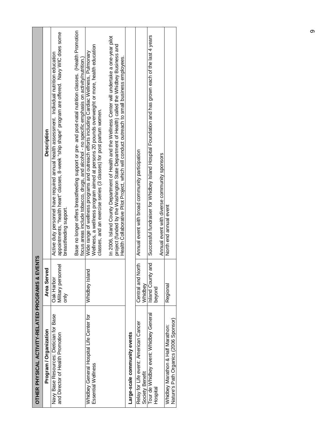| OTHER PHYSICAL ACTIVITY-RELATED PROGRAMS & EVENTS                           |                                          |                                                                                                                                                                                                                                                                                                      |
|-----------------------------------------------------------------------------|------------------------------------------|------------------------------------------------------------------------------------------------------------------------------------------------------------------------------------------------------------------------------------------------------------------------------------------------------|
| Program / Organization                                                      | Area Served                              | <b>Description</b>                                                                                                                                                                                                                                                                                   |
| Navy Base Resources: Dietician for Base<br>and Director of Health Promotion | Military personnel<br>Oak Harbor<br>only | appointments, "health heart" classes, 8-week "ship shape" program are offered. Navy WIC does some<br>Active duty personnel have required annual health assessment. Individual nutrition education<br>breastteeding support.                                                                          |
|                                                                             |                                          | Base no longer offers breastfeeding support or pre- and post-natal nutrition classes. (Health Promotion<br>focus areas include tobacco, drugs, and alcohol - no specific emphasis on activity/nutrition.)                                                                                            |
| Whidbey General Hospital Life Center for<br>Essential Wellness              | Whidbey Island                           | Wellness, a wellness program aimed at persons 20 pounds overweight or more, health education<br>Wide range of wellness programs and outreach efforts induding Cardiac Wellness, Pulmonary<br>classes, and an exercise series (3 classes) for post partum women.                                      |
|                                                                             |                                          | In 2006, Island County Department of Health and the Wellness Center will undertake a one-year pilot<br>project (funded by the Washington State Department of Health) called the Whidbey Business and<br>Health Collaborative Pilot Project, which will conduct outreach to small business employees. |
| Large-scale community events                                                |                                          |                                                                                                                                                                                                                                                                                                      |
| Relay for Life event: American Cancer<br>Society Benefit                    | Central and North<br>Whidbey             | Annual event with broad community participation                                                                                                                                                                                                                                                      |
| Tour de Whidbey event: Whidbey General<br>Hospital                          | ang<br>Island County<br>beyond           | Successful fundraiser for Whidbey Island Hospital Foundation and has grown each of the last 4 years                                                                                                                                                                                                  |
|                                                                             |                                          | Annual event with diverse community sponsors                                                                                                                                                                                                                                                         |
| Nature's Path Organics (2006 Sponsor)<br>Whidbey Marathon & Half Marathon:  | Regional                                 | North end annual event                                                                                                                                                                                                                                                                               |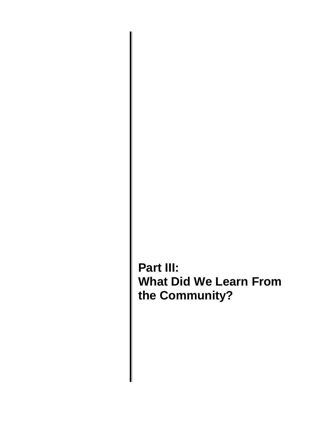**Part III: What Did We Learn From the Community?**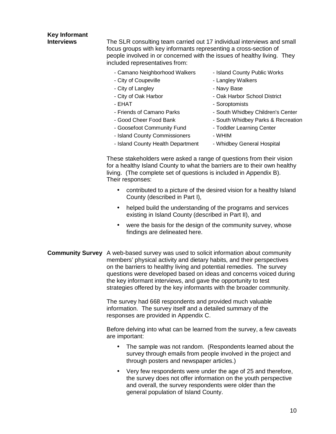### **Key Informant Interviews** The SLR consulting team carried out 17 individual interviews and small focus groups with key informants representing a cross-section of people involved in or concerned with the issues of healthy living. They included representatives from: - Camano Neighborhood Walkers - Island County Public Works - City of Coupeville **Community** - Langley Walkers - City of Langley **- Navy Base** - City of Oak Harbor **- Oak Harbor School District** - EHAT - Soroptomists - Friends of Camano Parks - South Whidbey Children's Center - Good Cheer Food Bank - South Whidbey Parks & Recreation - Goosefoot Community Fund - Toddler Learning Center - Island County Commissioners - WHIM - Island County Health Department - Whidbey General Hospital

These stakeholders were asked a range of questions from their vision for a healthy Island County to what the barriers are to their own healthy living. (The complete set of questions is included in Appendix B). Their responses:

- contributed to a picture of the desired vision for a healthy Island County (described in Part I),
- helped build the understanding of the programs and services existing in Island County (described in Part II), and
- were the basis for the design of the community survey, whose findings are delineated here.
- **Community Survey** A web-based survey was used to solicit information about community members' physical activity and dietary habits, and their perspectives on the barriers to healthy living and potential remedies. The survey questions were developed based on ideas and concerns voiced during the key informant interviews, and gave the opportunity to test strategies offered by the key informants with the broader community.

The survey had 668 respondents and provided much valuable information. The survey itself and a detailed summary of the responses are provided in Appendix C.

Before delving into what can be learned from the survey, a few caveats are important:

- The sample was not random. (Respondents learned about the survey through emails from people involved in the project and through posters and newspaper articles.)
- Very few respondents were under the age of 25 and therefore, the survey does not offer information on the youth perspective and overall, the survey respondents were older than the general population of Island County.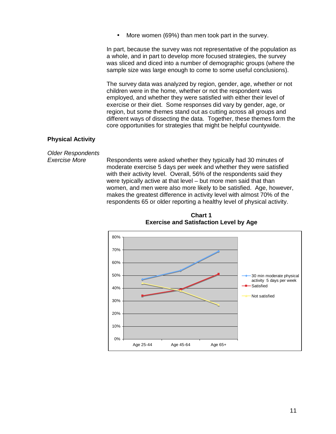More women (69%) than men took part in the survey.

In part, because the survey was not representative of the population as a whole, and in part to develop more focused strategies, the survey was sliced and diced into a number of demographic groups (where the sample size was large enough to come to some useful conclusions).

The survey data was analyzed by region, gender, age, whether or not children were in the home, whether or not the respondent was employed, and whether they were satisfied with either their level of exercise or their diet. Some responses did vary by gender, age, or region, but some themes stand out as cutting across all groups and different ways of dissecting the data. Together, these themes form the core opportunities for strategies that might be helpful countywide.

#### **Physical Activity**

Older Respondents

Exercise More Respondents were asked whether they typically had 30 minutes of moderate exercise 5 days per week and whether they were satisfied with their activity level. Overall, 56% of the respondents said they were typically active at that level – but more men said that than women, and men were also more likely to be satisfied. Age, however, makes the greatest difference in activity level with almost 70% of the respondents 65 or older reporting a healthy level of physical activity.



**Chart 1 Exercise and Satisfaction Level by Age**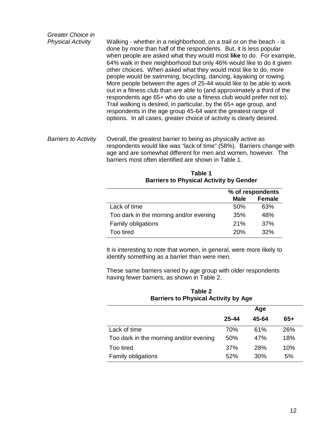Greater Choice in Physical Activity Walking - whether in a neighborhood, on a trail or on the beach - is done by more than half of the respondents. But, it is less popular when people are asked what they would most **like** to do. For example, 64% walk in their neighborhood but only 46% would like to do it given other choices. When asked what they would most like to do, more people would be swimming, bicycling, dancing, kayaking or rowing. More people between the ages of 25-44 would like to be able to work out in a fitness club than are able to (and approximately a third of the respondents age 65+ who do use a fitness club would prefer not to). Trail walking is desired, in particular, by the 65+ age group, and respondents in the age group 45-64 want the greatest range of options. In all cases, greater choice of activity is clearly desired. Barriers to Activity Overall, the greatest barrier to being as physically active as respondents would like was "lack of time" (58%). Barriers change with

age and are somewhat different for men and women, however. The barriers most often identified are shown in Table 1.

| <b>Barriers to Physical Activity by Gender</b> |             |                  |
|------------------------------------------------|-------------|------------------|
|                                                |             | % of respondents |
|                                                | <b>Male</b> | <b>Female</b>    |
| Lack of time                                   | 50%         | 63%              |
| Too dark in the morning and/or evening         | 35%         | 48%              |
| <b>Family obligations</b>                      | 21%         | 37%              |
| Too tired                                      | 20%         | 32%              |

**Table 1 Barriers to Physical Activity by Gender** 

It is interesting to note that women, in general, were more likely to identify something as a barrier than were men.

These same barriers varied by age group with older respondents having fewer barriers, as shown in Table 2.

| Table 2<br><b>Barriers to Physical Activity by Age</b> |       |       |     |
|--------------------------------------------------------|-------|-------|-----|
|                                                        |       | Age   |     |
|                                                        | 25-44 | 45-64 | 65+ |
| Lack of time                                           | 70%   | 61%   | 26% |
| Too dark in the morning and/or evening                 | 50%   | 47%   | 18% |
| Too tired                                              | 37%   | 28%   | 10% |
| Family obligations                                     | 52%   | 30%   | 5%  |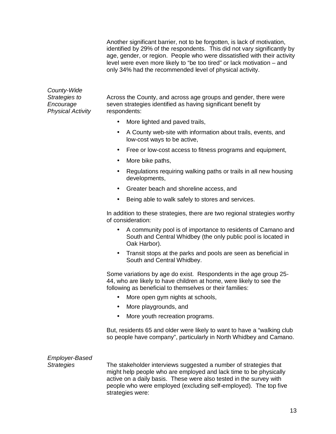Another significant barrier, not to be forgotten, is lack of motivation, identified by 29% of the respondents. This did not vary significantly by age, gender, or region. People who were dissatisfied with their activity level were even more likely to "be too tired" or lack motivation – and only 34% had the recommended level of physical activity.

County-Wide Physical Activity respondents:

Strategies to Across the County, and across age groups and gender, there were Encourage seven strategies identified as having significant benefit by

- More lighted and paved trails,
- A County web-site with information about trails, events, and low-cost ways to be active,
- Free or low-cost access to fitness programs and equipment,
- More bike paths,
- Regulations requiring walking paths or trails in all new housing developments,
- Greater beach and shoreline access, and
- Being able to walk safely to stores and services.

In addition to these strategies, there are two regional strategies worthy of consideration:

- A community pool is of importance to residents of Camano and South and Central Whidbey (the only public pool is located in Oak Harbor).
- Transit stops at the parks and pools are seen as beneficial in South and Central Whidbey.

Some variations by age do exist. Respondents in the age group 25- 44, who are likely to have children at home, were likely to see the following as beneficial to themselves or their families:

- More open gym nights at schools,
- More playgrounds, and
- More youth recreation programs.

But, residents 65 and older were likely to want to have a "walking club so people have company", particularly in North Whidbey and Camano.

#### Employer-Based

Strategies The stakeholder interviews suggested a number of strategies that might help people who are employed and lack time to be physically active on a daily basis. These were also tested in the survey with people who were employed (excluding self-employed). The top five strategies were: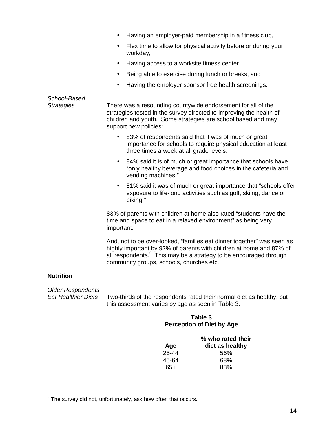- Having an employer-paid membership in a fitness club,
- Flex time to allow for physical activity before or during your workday,
- Having access to a worksite fitness center,
- Being able to exercise during lunch or breaks, and
- Having the employer sponsor free health screenings.

### School-Based Strategies There was a resounding countywide endorsement for all of the strategies tested in the survey directed to improving the health of children and youth. Some strategies are school based and may support new policies: • 83% of respondents said that it was of much or great importance for schools to require physical education at least three times a week at all grade levels. • 84% said it is of much or great importance that schools have "only healthy beverage and food choices in the cafeteria and vending machines." • 81% said it was of much or great importance that "schools offer exposure to life-long activities such as golf, skiing, dance or biking." 83% of parents with children at home also rated "students have the time and space to eat in a relaxed environment" as being very important. And, not to be over-looked, "families eat dinner together" was seen as highly important by 92% of parents with children at home and 87% of all respondents.<sup>2</sup> This may be a strategy to be encouraged through community groups, schools, churches etc. **Nutrition**

Older Respondents<br>Fat Healthier Diets

 $\overline{a}$ 

Two-thirds of the respondents rated their normal diet as healthy, but this assessment varies by age as seen in Table 3.

#### **Table 3 Perception of Diet by Age**

| % who rated their<br>diet as healthy |
|--------------------------------------|
| .56%                                 |
| 68%                                  |
| 83%                                  |
|                                      |

 $2$  The survey did not, unfortunately, ask how often that occurs.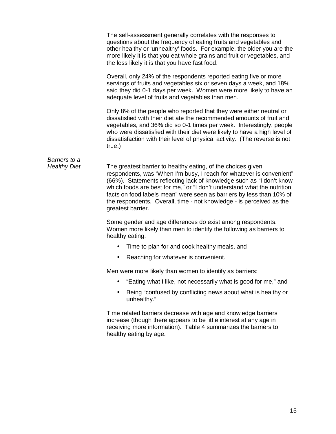|                                      | The self-assessment generally correlates with the responses to<br>questions about the frequency of eating fruits and vegetables and<br>other healthy or 'unhealthy' foods. For example, the older you are the<br>more likely it is that you eat whole grains and fruit or vegetables, and<br>the less likely it is that you have fast food.                                                                                                                  |
|--------------------------------------|--------------------------------------------------------------------------------------------------------------------------------------------------------------------------------------------------------------------------------------------------------------------------------------------------------------------------------------------------------------------------------------------------------------------------------------------------------------|
|                                      | Overall, only 24% of the respondents reported eating five or more<br>servings of fruits and vegetables six or seven days a week, and 18%<br>said they did 0-1 days per week. Women were more likely to have an<br>adequate level of fruits and vegetables than men.                                                                                                                                                                                          |
|                                      | Only 8% of the people who reported that they were either neutral or<br>dissatisfied with their diet ate the recommended amounts of fruit and<br>vegetables, and 36% did so 0-1 times per week. Interestingly, people<br>who were dissatisfied with their diet were likely to have a high level of<br>dissatisfaction with their level of physical activity. (The reverse is not<br>true.)                                                                    |
| Barriers to a<br><b>Healthy Diet</b> | The greatest barrier to healthy eating, of the choices given<br>respondents, was "When I'm busy, I reach for whatever is convenient"<br>(66%). Statements reflecting lack of knowledge such as "I don't know<br>which foods are best for me," or "I don't understand what the nutrition<br>facts on food labels mean" were seen as barriers by less than 10% of<br>the respondents. Overall, time - not knowledge - is perceived as the<br>greatest barrier. |
|                                      | Some gender and age differences do exist among respondents.<br>Women more likely than men to identify the following as barriers to<br>healthy eating:                                                                                                                                                                                                                                                                                                        |
|                                      | Time to plan for and cook healthy meals, and                                                                                                                                                                                                                                                                                                                                                                                                                 |
|                                      | Reaching for whatever is convenient.                                                                                                                                                                                                                                                                                                                                                                                                                         |
|                                      | Men were more likely than women to identify as barriers:                                                                                                                                                                                                                                                                                                                                                                                                     |
|                                      | "Eating what I like, not necessarily what is good for me," and                                                                                                                                                                                                                                                                                                                                                                                               |
|                                      | Being "confused by conflicting news about what is healthy or<br>unhealthy."                                                                                                                                                                                                                                                                                                                                                                                  |
|                                      | Time related barriers decrease with age and knowledge barriers<br>increase (though there appears to be little interest at any age in<br>receiving more information). Table 4 summarizes the barriers to<br>healthy eating by age.                                                                                                                                                                                                                            |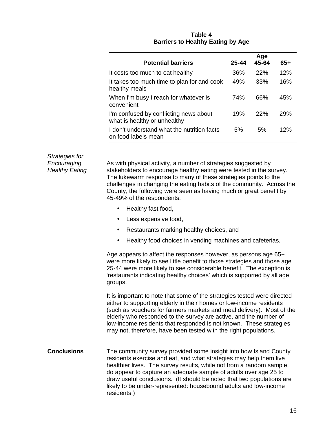|                                                                        |       | Age   |     |
|------------------------------------------------------------------------|-------|-------|-----|
| <b>Potential barriers</b>                                              | 25-44 | 45-64 | 65+ |
| It costs too much to eat healthy                                       | 36%   | 22%   | 12% |
| It takes too much time to plan for and cook<br>healthy meals           | 49%   | 33%   | 16% |
| When I'm busy I reach for whatever is<br>convenient                    | 74%   | 66%   | 45% |
| I'm confused by conflicting news about<br>what is healthy or unhealthy | 19%   | 22%   | 29% |
| I don't understand what the nutrition facts<br>on food labels mean     | 5%    | 5%    | 12% |

#### **Table 4 Barriers to Healthy Eating by Age**

Strategies for

Encouraging As with physical activity, a number of strategies suggested by Healthy Eating stakeholders to encourage healthy eating were tested in the survey. The lukewarm response to many of these strategies points to the challenges in changing the eating habits of the community. Across the County, the following were seen as having much or great benefit by 45-49% of the respondents:

- Healthy fast food,
- Less expensive food,
- Restaurants marking healthy choices, and
- Healthy food choices in vending machines and cafeterias.

Age appears to affect the responses however, as persons age 65+ were more likely to see little benefit to those strategies and those age 25-44 were more likely to see considerable benefit. The exception is 'restaurants indicating healthy choices' which is supported by all age groups.

It is important to note that some of the strategies tested were directed either to supporting elderly in their homes or low-income residents (such as vouchers for farmers markets and meal delivery). Most of the elderly who responded to the survey are active, and the number of low-income residents that responded is not known. These strategies may not, therefore, have been tested with the right populations.

**Conclusions** The community survey provided some insight into how Island County residents exercise and eat, and what strategies may help them live healthier lives. The survey results, while not from a random sample, do appear to capture an adequate sample of adults over age 25 to draw useful conclusions. (It should be noted that two populations are likely to be under-represented: housebound adults and low-income residents.)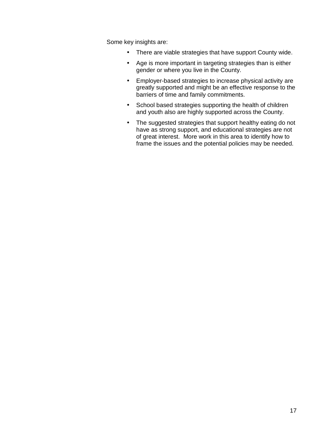Some key insights are:

- There are viable strategies that have support County wide.
- Age is more important in targeting strategies than is either gender or where you live in the County.
- Employer-based strategies to increase physical activity are greatly supported and might be an effective response to the barriers of time and family commitments.
- School based strategies supporting the health of children and youth also are highly supported across the County.
- The suggested strategies that support healthy eating do not have as strong support, and educational strategies are not of great interest. More work in this area to identify how to frame the issues and the potential policies may be needed.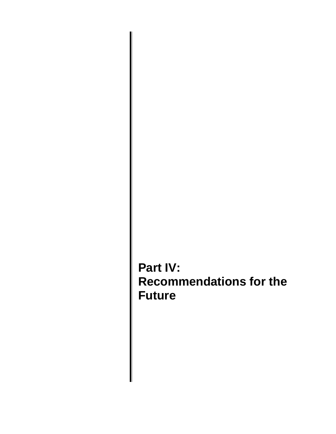**Part IV: Recommendations for the Future**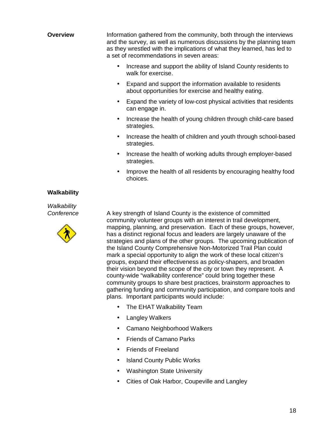**Overview** Information gathered from the community, both through the interviews and the survey, as well as numerous discussions by the planning team as they wrestled with the implications of what they learned, has led to a set of recommendations in seven areas:

- Increase and support the ability of Island County residents to walk for exercise.
- Expand and support the information available to residents about opportunities for exercise and healthy eating.
- Expand the variety of low-cost physical activities that residents can engage in.
- Increase the health of young children through child-care based strategies.
- Increase the health of children and youth through school-based strategies.
- Increase the health of working adults through employer-based strategies.
- Improve the health of all residents by encouraging healthy food choices.

#### **Walkability**

**Walkability** 



Conference A key strength of Island County is the existence of committed community volunteer groups with an interest in trail development, mapping, planning, and preservation. Each of these groups, however, has a distinct regional focus and leaders are largely unaware of the strategies and plans of the other groups. The upcoming publication of the Island County Comprehensive Non-Motorized Trail Plan could mark a special opportunity to align the work of these local citizen's groups, expand their effectiveness as policy-shapers, and broaden their vision beyond the scope of the city or town they represent. A county-wide "walkability conference" could bring together these community groups to share best practices, brainstorm approaches to gathering funding and community participation, and compare tools and plans. Important participants would include:

- The EHAT Walkability Team
- Langley Walkers
- Camano Neighborhood Walkers
- Friends of Camano Parks
- Friends of Freeland
- Island County Public Works
- Washington State University
- Cities of Oak Harbor, Coupeville and Langley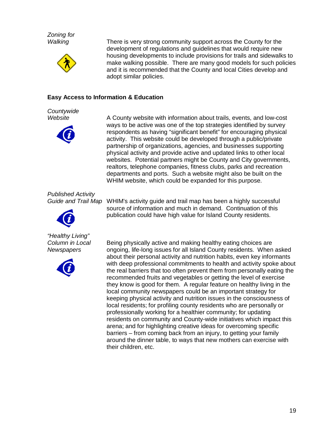Zoning for



Walking There is very strong community support across the County for the development of regulations and guidelines that would require new housing developments to include provisions for trails and sidewalks to make walking possible. There are many good models for such policies and it is recommended that the County and local Cities develop and adopt similar policies.

#### **Easy Access to Information & Education**

**Countywide** 



Website **A** County website with information about trails, events, and low-cost ways to be active was one of the top strategies identified by survey respondents as having "significant benefit" for encouraging physical activity. This website could be developed through a public/private partnership of organizations, agencies, and businesses supporting physical activity and provide active and updated links to other local websites. Potential partners might be County and City governments, realtors, telephone companies, fitness clubs, parks and recreation departments and ports. Such a website might also be built on the WHIM website, which could be expanded for this purpose.

Published Activity



"Healthy Living"



Guide and Trail Map WHIM's activity guide and trail map has been a highly successful source of information and much in demand. Continuation of this publication could have high value for Island County residents.

Column in Local Being physically active and making healthy eating choices are Newspapers ongoing, life-long issues for all Island County residents. When asked about their personal activity and nutrition habits, even key informants with deep professional commitments to health and activity spoke about the real barriers that too often prevent them from personally eating the recommended fruits and vegetables or getting the level of exercise they know is good for them. A regular feature on healthy living in the local community newspapers could be an important strategy for keeping physical activity and nutrition issues in the consciousness of local residents; for profiling county residents who are personally or professionally working for a healthier community; for updating residents on community and County-wide initiatives which impact this arena; and for highlighting creative ideas for overcoming specific barriers – from coming back from an injury, to getting your family around the dinner table, to ways that new mothers can exercise with their children, etc.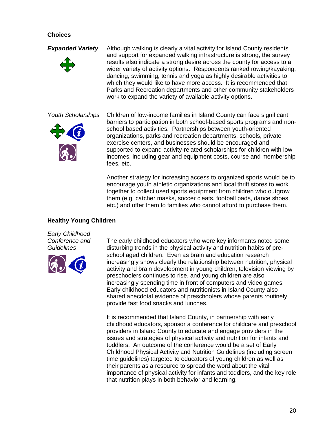#### **Choices**



**Expanded Variety** Although walking is clearly a vital activity for Island County residents and support for expanded walking infrastructure is strong, the survey results also indicate a strong desire across the county for access to a wider variety of activity options. Respondents ranked rowing/kayaking, dancing, swimming, tennis and yoga as highly desirable activities to which they would like to have more access. It is recommended that Parks and Recreation departments and other community stakeholders work to expand the variety of available activity options.



Youth Scholarships Children of low-income families in Island County can face significant barriers to participation in both school-based sports programs and nonschool based activities. Partnerships between youth-oriented organizations, parks and recreation departments, schools, private exercise centers, and businesses should be encouraged and supported to expand activity-related scholarships for children with low incomes, including gear and equipment costs, course and membership fees, etc.

> Another strategy for increasing access to organized sports would be to encourage youth athletic organizations and local thrift stores to work together to collect used sports equipment from children who outgrow them (e.g. catcher masks, soccer cleats, football pads, dance shoes, etc.) and offer them to families who cannot afford to purchase them.

#### **Healthy Young Children**

Early Childhood



Conference and The early childhood educators who were key informants noted some Guidelines disturbing trends in the physical activity and nutrition habits of preschool aged children. Even as brain and education research increasingly shows clearly the relationship between nutrition, physical activity and brain development in young children, television viewing by preschoolers continues to rise, and young children are also increasingly spending time in front of computers and video games. Early childhood educators and nutritionists in Island County also shared anecdotal evidence of preschoolers whose parents routinely provide fast food snacks and lunches.

> It is recommended that Island County, in partnership with early childhood educators, sponsor a conference for childcare and preschool providers in Island County to educate and engage providers in the issues and strategies of physical activity and nutrition for infants and toddlers. An outcome of the conference would be a set of Early Childhood Physical Activity and Nutrition Guidelines (including screen time guidelines) targeted to educators of young children as well as their parents as a resource to spread the word about the vital importance of physical activity for infants and toddlers, and the key role that nutrition plays in both behavior and learning.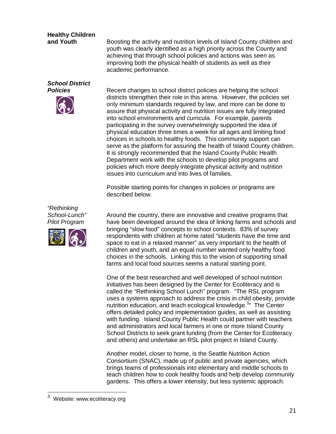## **Healthy Children**

**and Youth Boosting the activity and nutrition levels of Island County children and** youth was clearly identified as a high priority across the County and achieving that through school policies and actions was seen as improving both the physical health of students as well as their academic performance.

# **School District**



**Policies** Recent changes to school district policies are helping the school districts strengthen their role in this arena. However, the policies set only minimum standards required by law, and more can be done to assure that physical activity and nutrition issues are fully integrated into school environments and curricula. For example, parents participating in the survey overwhelmingly supported the idea of physical education three times a week for all ages and limiting food choices in schools to healthy foods. This community support can serve as the platform for assuring the health of Island County children. It is strongly recommended that the Island County Public Health Department work with the schools to develop pilot programs and policies which more deeply integrate physical activity and nutrition issues into curriculum and into lives of families.

> Possible starting points for changes in policies or programs are described below.





School-Lunch" Around the country, there are innovative and creative programs that Pilot Program have been developed around the idea of linking farms and schools and bringing "slow food" concepts to school contexts. 83% of survey respondents with children at home rated "students have the time and space to eat in a relaxed manner" as very important to the health of children and youth, and an equal number wanted only healthy food choices in the schools. Linking this to the vision of supporting small farms and local food sources seems a natural starting point.

> One of the best researched and well developed of school nutrition initiatives has been designed by the Center for Ecoliteracy and is called the "Rethinking School Lunch" program. "The RSL program uses a systems approach to address the crisis in child obesity, provide nutrition education, and teach ecological knowledge.<sup>3</sup> The Center offers detailed policy and implementation guides, as well as assisting with funding. Island County Public Health could partner with teachers and administrators and local farmers in one or more Island County School Districts to seek grant funding (from the Center for Ecoliteracy and others) and undertake an RSL pilot project in Island County.

> Another model, closer to home, is the Seattle Nutrition Action Consortium (SNAC), made up of public and private agencies, which brings teams of professionals into elementary and middle schools to teach children how to cook healthy foods and help develop community gardens. This offers a lower intensity, but less systemic approach.

<sup>3</sup> Website: www.ecoliteracy.org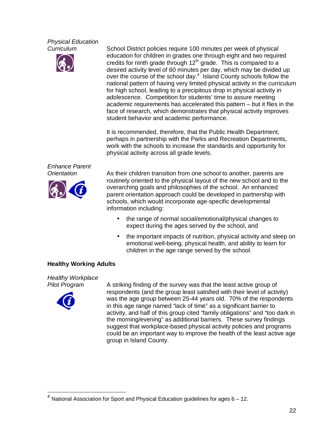# Physical Education



Curriculum School District policies require 100 minutes per week of physical education for children in grades one through eight and two required credits for ninth grade through  $12<sup>th</sup>$  grade. This is compared to a desired activity level of 60 minutes per day, which may be divided up over the course of the school day. $4$  Island County schools follow the national pattern of having very limited physical activity in the curriculum for high school, leading to a precipitous drop in physical activity in adolescence. Competition for students' time to assure meeting academic requirements has accelerated this pattern – but it flies in the face of research, which demonstrates that physical activity improves student behavior and academic performance.

> It is recommended, therefore, that the Public Health Department, perhaps in partnership with the Parks and Recreation Departments, work with the schools to increase the standards and opportunity for physical activity across all grade levels.

Enhance Parent



Orientation As their children transition from one school to another, parents are routinely oriented to the physical layout of the new school and to the overarching goals and philosophies of the school. An enhanced parent orientation approach could be developed in partnership with schools, which would incorporate age-specific developmental information including:

- the range of normal social/emotional/physical changes to expect during the ages served by the school, and
- the important impacts of nutrition, physical activity and sleep on emotional well-being, physical health, and ability to learn for children in the age range served by the school.

#### **Healthy Working Adults**

Healthy Workplace



Pilot Program A striking finding of the survey was that the least active group of respondents (and the group least satisfied with their level of activity) was the age group between 25-44 years old. 70% of the respondents in this age range named "lack of time" as a significant barrier to activity, and half of this group cited "family obligations" and "too dark in the morning/evening" as additional barriers. These survey findings suggest that workplace-based physical activity policies and programs could be an important way to improve the health of the least active age group in Island County.

<sup>4</sup> National Association for Sport and Physical Education guidelines for ages 6 – 12.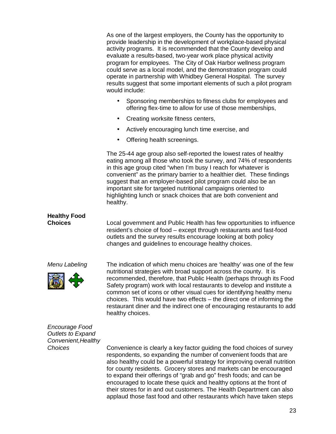As one of the largest employers, the County has the opportunity to provide leadership in the development of workplace-based physical activity programs. It is recommended that the County develop and evaluate a results-based, two-year work place physical activity program for employees. The City of Oak Harbor wellness program could serve as a local model, and the demonstration program could operate in partnership with Whidbey General Hospital. The survey results suggest that some important elements of such a pilot program would include:

- Sponsoring memberships to fitness clubs for employees and offering flex-time to allow for use of those memberships,
- Creating worksite fitness centers,
- Actively encouraging lunch time exercise, and
- Offering health screenings.

The 25-44 age group also self-reported the lowest rates of healthy eating among all those who took the survey, and 74% of respondents in this age group cited "when I'm busy I reach for whatever is convenient" as the primary barrier to a healthier diet. These findings suggest that an employer-based pilot program could also be an important site for targeted nutritional campaigns oriented to highlighting lunch or snack choices that are both convenient and healthy.

# **Healthy Food**

**Choices** Local government and Public Health has few opportunities to influence resident's choice of food – except through restaurants and fast-food outlets and the survey results encourage looking at both policy changes and guidelines to encourage healthy choices.



Menu Labeling The indication of which menu choices are 'healthy' was one of the few nutritional strategies with broad support across the county. It is recommended, therefore, that Public Health (perhaps through its Food Safety program) work with local restaurants to develop and institute a common set of icons or other visual cues for identifying healthy menu choices. This would have two effects – the direct one of informing the restaurant diner and the indirect one of encouraging restaurants to add healthy choices.

Encourage Food Outlets to Expand Convenient,Healthy

Choices Convenience is clearly a key factor guiding the food choices of survey respondents, so expanding the number of convenient foods that are also healthy could be a powerful strategy for improving overall nutrition for county residents. Grocery stores and markets can be encouraged to expand their offerings of "grab and go" fresh foods; and can be encouraged to locate these quick and healthy options at the front of their stores for in and out customers. The Health Department can also applaud those fast food and other restaurants which have taken steps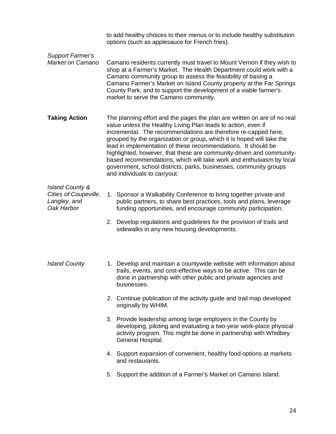| <b>Support Farmer's</b><br>Market on Camano                                       | to add healthy choices to their menus or to include healthy substitution<br>options (such as applesauce for French fries).                                                                                                                                                                                                                                                                                                                                                                                                                                                                                |  |  |  |
|-----------------------------------------------------------------------------------|-----------------------------------------------------------------------------------------------------------------------------------------------------------------------------------------------------------------------------------------------------------------------------------------------------------------------------------------------------------------------------------------------------------------------------------------------------------------------------------------------------------------------------------------------------------------------------------------------------------|--|--|--|
|                                                                                   | Camano residents currently must travel to Mount Vernon if they wish to<br>shop at a Farmer's Market. The Health Department could work with a<br>Camano community group to assess the feasibility of basing a<br>Camano Farmer's Market on Island County property at the Far Springs<br>County Park, and to support the development of a viable farmer's<br>market to serve the Camano community.                                                                                                                                                                                                          |  |  |  |
| <b>Taking Action</b>                                                              | The planning effort and the pages the plan are written on are of no real<br>value unless the Healthy Living Plan leads to action, even if<br>incremental. The recommendations are therefore re-capped here,<br>grouped by the organization or group, which it is hoped will take the<br>lead in implementation of these recommendations. It should be<br>highlighted, however, that these are community-driven and community-<br>based recommendations, which will take work and enthusiasm by local<br>government, school districts, parks, businesses, community groups<br>and individuals to carryout. |  |  |  |
| <b>Island County &amp;</b><br>Cities of Coupeville,<br>Langley, and<br>Oak Harbor | 1. Sponsor a Walkability Conference to bring together private and<br>public partners, to share best practices, tools and plans, leverage<br>funding opportunities, and encourage community participation.                                                                                                                                                                                                                                                                                                                                                                                                 |  |  |  |
|                                                                                   | 2. Develop regulations and guidelines for the provision of trails and<br>sidewalks in any new housing developments.                                                                                                                                                                                                                                                                                                                                                                                                                                                                                       |  |  |  |
| <b>Island County</b>                                                              | 1. Develop and maintain a countywide website with information about<br>trails, events, and cost-effective ways to be active. This can be<br>done in partnership with other public and private agencies and<br>businesses.                                                                                                                                                                                                                                                                                                                                                                                 |  |  |  |
|                                                                                   | 2. Continue publication of the activity guide and trail map developed<br>originally by WHIM.                                                                                                                                                                                                                                                                                                                                                                                                                                                                                                              |  |  |  |
|                                                                                   | 3. Provide leadership among large employers in the County by                                                                                                                                                                                                                                                                                                                                                                                                                                                                                                                                              |  |  |  |

- developing, piloting and evaluating a two-year work-place physical activity program. This might be done in partnership with Whidbey General Hospital.
- 4. Support expansion of convenient, healthy food options at markets and restaurants.
- 5. Support the addition of a Farmer's Market on Camano Island.